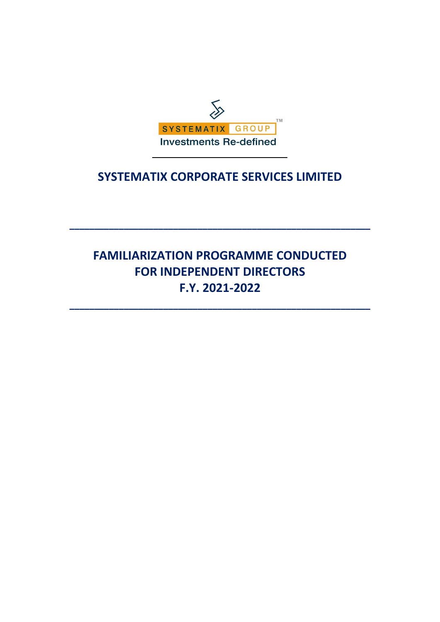

## **SYSTEMATIX CORPORATE SERVICES LIMITED**

# **FAMILIARIZATION PROGRAMME CONDUCTED FOR INDEPENDENT DIRECTORS F.Y. 2021-2022**

**\_\_\_\_\_\_\_\_\_\_\_\_\_\_\_\_\_\_\_\_\_\_\_\_\_\_\_\_\_\_\_\_\_\_\_\_\_\_\_\_\_\_\_\_\_\_\_\_\_\_\_\_\_\_\_\_\_\_\_\_\_**

**\_\_\_\_\_\_\_\_\_\_\_\_\_\_\_\_\_\_\_\_\_\_\_\_\_\_\_\_\_\_\_\_\_\_\_\_\_\_\_\_\_\_\_\_\_\_\_\_\_\_\_\_\_\_\_\_\_\_\_\_\_**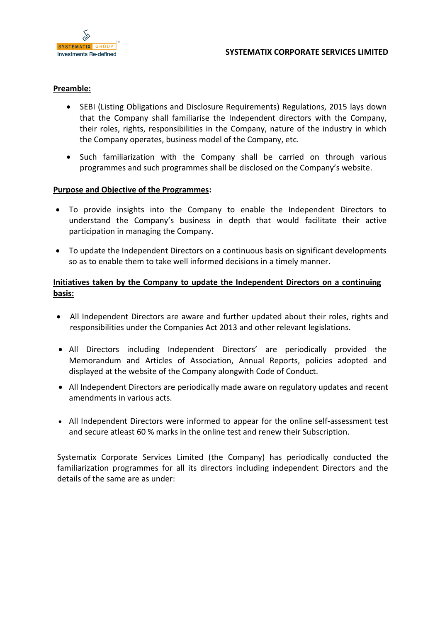

#### **Preamble:**

- SEBI (Listing Obligations and Disclosure Requirements) Regulations, 2015 lays down that the Company shall familiarise the Independent directors with the Company, their roles, rights, responsibilities in the Company, nature of the industry in which the Company operates, business model of the Company, etc.
- Such familiarization with the Company shall be carried on through various programmes and such programmes shall be disclosed on the Company's website.

#### **Purpose and Objective of the Programmes:**

- To provide insights into the Company to enable the Independent Directors to understand the Company's business in depth that would facilitate their active participation in managing the Company.
- To update the Independent Directors on a continuous basis on significant developments so as to enable them to take well informed decisions in a timely manner.

### **Initiatives taken by the Company to update the Independent Directors on a continuing basis:**

- All Independent Directors are aware and further updated about their roles, rights and responsibilities under the Companies Act 2013 and other relevant legislations.
- All Directors including Independent Directors' are periodically provided the Memorandum and Articles of Association, Annual Reports, policies adopted and displayed at the website of the Company alongwith Code of Conduct.
- All Independent Directors are periodically made aware on regulatory updates and recent amendments in various acts.
- All Independent Directors were informed to appear for the online self-assessment test and secure atleast 60 % marks in the online test and renew their Subscription.

Systematix Corporate Services Limited (the Company) has periodically conducted the familiarization programmes for all its directors including independent Directors and the details of the same are as under: